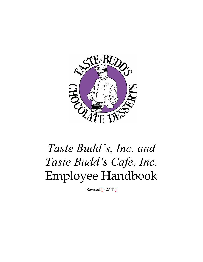

# *Taste Budd's, Inc. and Taste Budd's Cafe, Inc.* Employee Handbook

Revised [7-27-11]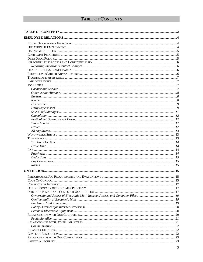# TABLE OF CONTENTS

<span id="page-1-0"></span>

| PERFORMANCE/JOB REQUIREMENTS AND EVALUATIONS. | .15 |
|-----------------------------------------------|-----|
|                                               |     |
|                                               |     |
|                                               |     |
|                                               |     |
|                                               |     |
|                                               |     |
|                                               |     |
|                                               |     |
|                                               |     |
|                                               |     |
|                                               |     |
|                                               |     |
|                                               |     |
|                                               |     |
|                                               |     |
|                                               |     |
|                                               |     |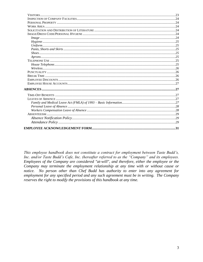This employee handbook does not constitute a contract for employment between Taste Budd's, Inc. and/or Taste Budd's Cafe, Inc. (hereafter referred to as the "Company" and its employees. Employees of the Company are considered "at-will", and therefore, either the employee or the Company may terminate the employment relationship at any time with or without cause or notice. No person other than Chef Budd has authority to enter into any agreement for employment for any specified period and any such agreement must be in writing. The Company reserves the right to modify the provisions of this handbook at any time.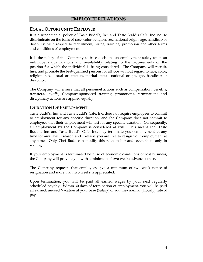# **EMPLOYEE RELATIONS**

#### <span id="page-3-1"></span><span id="page-3-0"></span>**EQUAL OPPORTUNITY EMPLOYER**

It is a fundamental policy of Taste Budd's, Inc. and Taste Budd's Cafe, Inc. not to discriminate on the basis of race, color, religion, sex, national origin, age, handicap or disability, with respect to recruitment, hiring, training, promotion and other terms and conditions of employment

It is the policy of this Company to base decisions on employment solely upon an individual's qualifications and availability relating to the requirements of the position for which the individual is being considered. The Company will recruit, hire, and promote the best-qualified persons for all jobs without regard to race, color, religion, sex, sexual orientation, marital status, national origin, age, handicap or disability.

The Company will ensure that all personnel actions such as compensation, benefits, transfers, layoffs, Company-sponsored training, promotions, terminations and disciplinary actions are applied equally.

#### <span id="page-3-2"></span>**DURATION OF EMPLOYMENT**

Taste Budd's, Inc. and Taste Budd's Cafe, Inc. does not require employees to commit to employment for any specific duration, and the Company does not commit to employees that their employment will last for any specific duration. Consequently, all employment by the Company is considered at will. This means that Taste Budd's, Inc. and Taste Budd's Cafe, Inc. may terminate your employment at any time for any lawful reason and likewise you are free to resign your employment at any time. Only Chef Budd can modify this relationship and, even then, only in writing.

If your employment is terminated because of economic conditions or lost business, the Company will provide you with a minimum of two weeks advance notice.

The Company requests that employees give a minimum of two-week notice of resignation and more than two weeks is appreciated.

Upon termination, you will be paid all earned wages by your next regularly scheduled payday. Within 30 days of termination of employment, you will be paid all earned, unused Vacation at your base (Salary) or routine/normal (Hourly) rate of pay.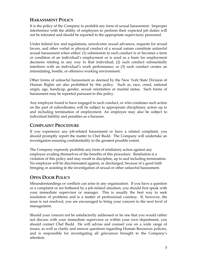# <span id="page-4-0"></span>**HARASSMENT POLICY**

It is the policy of the Company to prohibit any form of sexual harassment. Improper interference with the ability of employees to perform their expected job duties will not be tolerated and should be reported to the appropriate supervisory personnel.

Under federal law and regulations, unwelcome sexual advances, requests for sexual favors, and other verbal or physical conduct of a sexual nature constitute unlawful sexual harassment when either: (1) submission to such conduct is or becomes a term or condition of an individual's employment or is used as a basis for employment decisions relating in any way to that individual; (2) such conduct substantially interferes with an individual's work performance; or (3) such conduct creates an intimidating, hostile, or offensive working environment.

Other forms of unlawful harassment as deemed by the New York State Division of Human Rights are also prohibited by this policy. Such as, race, creed, national origin, age, handicap, gender, sexual orientation or marital status. Such forms of harassment may be reported pursuant to this policy.

Any employee found to have engaged in such conduct, or who condones such action on the part of subordinates, will be subject to appropriate disciplinary action up to and including termination of employment. An employee may also be subject to individual liability and penalties as a harasser.

# <span id="page-4-1"></span>**COMPLAINT PROCEDURE**

If you experience any job-related harassment or have a related complaint, you should promptly report the matter to Chef Budd. The Company will undertake an investigation ensuring confidentiality to the greatest possible extent.

The Company expressly prohibits any form of retaliatory action against any employee availing themselves of the benefits of this procedure. Retaliation is a violation of this policy and may result in discipline, up to and including termination. No employee will be discriminated against, or discharged, because of a good faith bringing or assisting in the investigation of sexual or other unlawful harassment.

# <span id="page-4-2"></span>**OPEN DOOR POLICY**

Misunderstandings or conflicts can arise in any organization. If you have a question or a complaint or are bothered by a job-related situation, you should first speak with your immediate supervisor or manager. This is usually the best way to seek resolution of problems and is a matter of professional courtesy. If, however, the issue is not resolved, you are encouraged to bring your concern to the next level of management.

Should your concern not be satisfactorily addressed or be one that you would rather not discuss with your immediate supervisor or within your own department, you should contact Chef Budd. He will advise and counsel you on a wide range of issues, as well as clarify and answer questions regarding Human Resources policies, and is responsible for investigating all grievances brought to the Company's attention.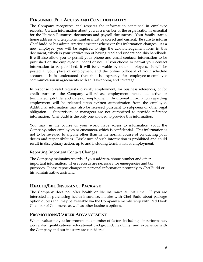# <span id="page-5-0"></span>**PERSONNEL FILE ACCESS AND CONFIDENTIALITY**

The Company recognizes and respects the information contained in employee records. Certain information about you as a member of the organization is essential for the Human Resources documents and payroll documents. Your family status, home address and telephone number must be correct and current. Be sure to inform Chef Budd or his administrative assistant whenever this information changes. As a new employee, you will be required to sign the acknowledgement form in this document, which is your verification of having read and understood this handbook. It will also allow you to permit your phone and email contacts information to be published on the employee billboard or not. If you choose to permit your contact information to be published, it will be viewable by other employees. It will be posted at your place of employment and the online billboard of your schedule account. It is understood that this is expressly for employee-to-employee communication in agreements with shift swapping and coverage.

In response to valid requests to verify employment, for business references, or for credit purposes, the Company will release employment status, i.e., active or terminated, job title, and dates of employment. Additional information regarding employment will be released upon written authorization from the employee. Additional information may also be released pursuant to subpoena or other legal obligation. Supervisors or managers are not authorized to provide reference information. Chef Budd is the only one allowed to provide this information.

You may, in the course of your work, have access to information about the Company, other employees or customers, which is confidential. This information is not to be revealed to anyone other than in the normal course of conducting your duties and responsibilities. Disclosure of such information is prohibited and could result in disciplinary action, up to and including termination of employment.

#### <span id="page-5-1"></span>Reporting Important Contact Changes

The Company maintains records of your address, phone number and other important information. These records are necessary for emergencies and tax purposes. Please report changes in personal information promptly to Chef Budd or his administrative assistant.

# <span id="page-5-2"></span>**HEALTH/LIFE INSURANCE PACKAGE**

The Company does not offer health or life insurance at this time. If you are interested in purchasing health insurance, inquire with Chef Budd about package option quotes that may be available via the Company's membership with Red Hook Chamber of Commerce as well as other business options.

# <span id="page-5-3"></span>**PROMOTIONS/CAREER ADVANCEMENT**

When evaluating you for promotion, a number of factors including job performance, job related qualifications, educational background, flexibility, and experience with the Company and our industry are considered.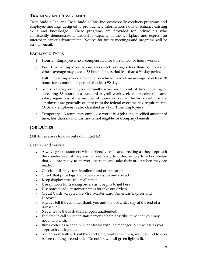# <span id="page-6-0"></span>**TRAINING AND ASSISTANCE**

Taste Budd's, Inc. and Taste Budd's Cafe, Inc. occasionally conducts programs and employee meetings designed to provide new information, skills or enhance existing skills and knowledge. These programs are provided for individuals who consistently demonstrate a leadership capacity in the workplace and express an interest in career advancement. Notices for future meetings and programs will be sent via email.

# <span id="page-6-1"></span>**EMPLOYEE TYPES**

- 1. Hourly Employee who is compensated for the number of hours worked.
- 2. Part Time Employee whose workweek averages less than 38 hours, or whose average may exceed 38 hours for a period less than a 90-day period.
- 3. Full Time Employees who have been hired to work an average of at least 38 hours for a continuous period of at least 90 days.
- 4. Salary Salary employees normally work an amount of time equaling or exceeding 38 hours in a standard payroll workweek and receive the same salary regardless of the number of hours worked in the workweek. Salary employees are generally exempt from the federal overtime pay requirements. (A Salary employee is also classified as a Full Time Employee.)
- 5. Temporary A temporary employee works in a job for a specified amount of time, less than six months, and is not eligible for Company benefits.

# <span id="page-6-2"></span>**JOB DUTIES**

#### (All duties are as follows but not limited to)

#### <span id="page-6-3"></span>Cashier and Service

- Always greet customers with a friendly smile and greeting as they approach the counter even if they are not yet ready to order, simply to acknowledge that you are ready to answer questions and take their order when they are ready.
- Check all displays for cleanliness and organization.
- Check that price tags and labels are visible and correct.
- Keep display cases full at all times.
- Use symbols for tracking orders as it begins to get busy.
- Use notes to add customer names for take out orders.
- Credit Cards accepted are Visa, Master Card, American Express and Discover.
- Always tell the customer thank you and to have a nice day at the end of a transaction.
- Never leave the cash drawer open unattended.
- Feel free to call a kitchen staff person to help describe items that you may need help with.
- Brew coffee as needed but coordinate with the manager to brew less as you approach closing time.
- Never brew both sides at the exact time, wait for running water sound to stop before running second side. Do not brew until green light is lit.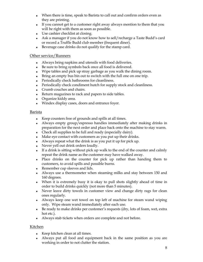- When there is time, speak to Barista to call out and confirm orders even as they are printing.
- If you cannot get to a customer right away always mention to them that you will be right with them as soon as possible.
- Use cashier checklist at closing.
- Ask a manager if you do not know how to sell/recharge a Taste Budd's card or record a Truffle Budd club member (frequent diner).
- Beverage case drinks do not qualify for the stamp card.

#### <span id="page-7-0"></span>Other service/Runners

- Always bring napkins and utensils with food deliveries.
- Be sure to bring symbols back once all food is delivered.
- Wipe tables and pick up stray garbage as you walk the dining room.
- Bring an empty bus bin out to switch with the full one on one trip.
- Periodically check bathrooms for cleanliness.
- Periodically check condiment hutch for supply stock and cleanliness.
- Crumb couches and chairs.
- Return magazines to rack and papers to side tables.
- Organize kiddy area.
- Windex display cases, doors and entrance foyer.

#### <span id="page-7-1"></span>Barista

- Keep counters free of grounds and spills at all times.
- Always empty group/espresso handles immediately after making drinks in preparation for the next order and place back onto the machine to stay warm.
- Check all supplies to be full and ready (especially dairy).
- Make eye contact with customers as you put up their drinks.
- Always repeat what the drink is as you put it up for pick up.
- Never yell out drink orders loudly.
- If a drink is sitting without pick up walk to the end of the counter and calmly repeat the drink name as the customer may have walked away.
- Place drinks on the counter for pick up rather than handing them to customers, to avoid spills and possible burns.
- Remember cup sleeves and lids.
- Always use a thermometer when steaming milks and stay between 150 and 160 degrees.
- When it is extremely busy it is okay to pull shots slightly ahead of time in order to build drinks quickly (not more than 5 minutes).
- Never leave dirty towels in customer view and change dirty rags for clean ones regularly.
- Always keep one wet towel on top left of machine for steam wand wiping only. Wipe steam wand immediately after each use.
- Be ready to make drinks per customer's requests (dry, lots of foam, wet, extra hot etc.).
- Always stab tickets when orders are complete and not before.

#### <span id="page-7-2"></span>Kitchen

- $\leftarrow$  Keep kitchen clean at all times.
- Always put all food and equipment back in the same position as you are working in order to not clutter the station.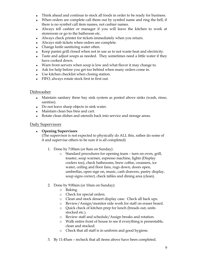- Think ahead and continue to stock all foods in order to be ready for business.
- When orders are complete call them out by symbol name and ring the bell, if there is no symbol call item names, not cashier names.
- Always tell cashier or manager if you will leave the kitchen to work at storeroom or go to the bathroom etc.
- Always check printer for tickets immediately when you return.
- Always stab tickets when orders are complete.
- Change knife sanitizing water often.
- Keep panini grill closed when not in use as to not waste heat and electricity.
- Taste and adjust soups as needed. They sometimes need a little water if they have cooked down.
- Warn front servers when soup is low and what flavor it may change to.
- Ask for help before you get too behind when many orders come in.
- Use kitchen checklist when closing station.
- FIFO, always rotate stock first in first out.

#### <span id="page-8-0"></span>Dishwasher

- Maintain sanitary three bay sink system as posted above sinks (wash, rinse, sanitize).
- Do not leave sharp objects in sink water.
- Maintain clean bus bins and cart.
- Rotate clean dishes and utensils back into service and storage areas.

#### <span id="page-8-1"></span>Daily Supervisors

#### **Opening Supervisors**

(The supervisor is not expected to physically do ALL this, rather do some of it and supervise others to be sure it is all completed)

- 1. Done by 7:00am (or 8am on Sunday):
	- o Standard procedures for opening team turn on oven, grill, toaster, soup warmer, espresso machine, lights (Display coolers too), check bathrooms, brew coffee, creamers, ice water, ceiling and floor fans, rugs down, doors open, umbrellas, open sign on, music, cash drawers, pastry display, soup signs correct, check tables and dining area (clean).
- 2. Done by 9:00am (or 10am on Sunday):
	- o Baking.
	- o Check for special orders.
	- o Clean and stock dessert display case. Check all back ups.
	- o Review/Assign/monitor side work for staff on eraser board.
	- o Quick check of kitchen prep for lunch (breads out, units stocked etc.).
	- o Review staff and schedule/Assign breaks and rotation.
	- o Walk entire front of house to see if everything is presentable, clean and stocked.
	- o Check that all staff is in uniform and good hygiene.
- 3. By 11:45am recheck that all items above have been completed.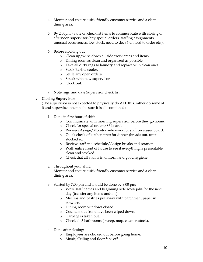- 4. Monitor and ensure quick friendly customer service and a clean dining area.
- 5. By 2:00pm note on checklist items to communicate with closing or afternoon supervisor (any special orders, staffing assignments, unusual occurrences, low stock, need to do, 86'd, need to order etc.).
- 6. Before clocking out
	- o Clean up/wipe down all side work areas and items.
	- o Dining room as clean and organized as possible.
	- o Take all dirty rags to laundry and replace with clean ones.
	- o Stock Barista cooler.
	- o Settle any open orders.
	- o Speak with new supervisor.
	- o Clock out.
- 7. Note, sign and date Supervisor check list.

#### **Closing Supervisors**

(The supervisor is not expected to physically do ALL this, rather do some of it and supervise others to be sure it is all completed)

- 1. Done in first hour of shift:
	- o Communicate with morning supervisor before they go home.
	- o Check for special orders/86 board.
	- o Review/Assign/Monitor side work for staff on eraser board.
	- o Quick check of kitchen prep for dinner (breads out, units stocked etc.).
	- o Review staff and schedule/Assign breaks and rotation.
	- o Walk entire front of house to see if everything is presentable, clean and stocked.
	- o Check that all staff is in uniform and good hygiene.
- 2. Throughout your shift:

Monitor and ensure quick friendly customer service and a clean dining area.

- 3. Started by 7:00 pm and should be done by 9:00 pm:
	- o Write staff names and beginning side work jobs for the next day (transfer any items undone).
	- o Muffins and pastries put away with parchment paper in between.
	- o Dining room windows closed.
	- o Counters out front have been wiped down.
	- o Garbage is taken out.
	- o Check all 3 bathrooms (sweep, mop, clean, restock).
- 4. Done after closing:
	- o Employees are clocked out before going home.
	- o Music, Ceiling and floor fans off.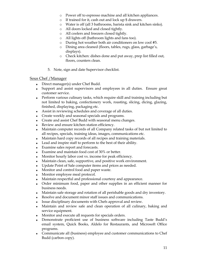- o Power off to espresso machine and all kitchen appliances.
- o If trained for it, cash out and lock up \$ drawers.
- o Water is off (all 3 bathrooms, barista sink and kitchen sinks).
- o All doors locked and closed tightly.
- o All coolers and freezers closed tightly.
- o All lights off (bathroom lights and fans too).
- o During hot weather both air conditioners on low cool #5.
- o Dining area cleaned (floors, tables, rugs, glass, garbage's, displays).
- o Check kitchen: dishes done and put away, prep list filled out, floors, counters clean.
- 5. Note, sign and date Supervisor checklist.

#### <span id="page-10-0"></span>Sous Chef /Manager

- Direct manager(s) under Chef Budd.
- Support and assist supervisors and employees in all duties. Ensure great customer service.
- Perform various culinary tasks, which require skill and training including but not limited to baking, confectionery work, roasting, slicing, dicing, glazing, finished, displaying, packaging etc.
- Assist in reviewing schedules and coverage of all duties.
- Create weekly and seasonal specials and programs.
- Create and assist Chef Budd with seasonal menu changes.
- Review and ensure kitchen station efficiency.
- Maintain computer records of all Company related tasks of but not limited to all recipes, specials, training ideas, images, communications etc.
- Maintain hard copy records of all recipes and training materials.
- Lead and inspire staff to perform to the best of their ability.
- Examine sales report and forecasts.
- Examine and maintain food cost of 30% or better.
- Monitor hourly labor cost vs. income for peak efficiency.
- Maintain clean, safe, supportive, and positive work environment.
- Update Point of Sale computer items and prices as needed.
- Monitor and control food and paper waste.
- Monitor employee meal protocol.
- Maintain respectful and professional courtesy and appearance.
- Order minimum food, paper and other supplies in an efficient manner for business needs.
- Maintain safe storage and rotation of all perishable goods and dry inventory.
- Resolve and document minor staff issues and communications.
- Issue disciplinary documents with Chefs approval and review.
- Maintain and review safe and clean operation of all culinary, baking and service equipment.
- Monitor and execute all requests for specials orders.
- Demonstrate proficient use of business software including Taste Budd's email system, Quick Books, Aldelo for Restaurants, and Microsoft Office programs.
- Communicate all (business) employee and customer communications to Chef Budd (carbon copy).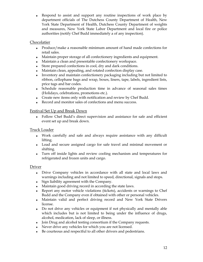Respond to assist and support any routine inspections of work place by department officials of The Dutchess County Department of Health, New York State Department of Health, Dutchess County Department of weights and measures, New York State Labor Department and local fire or police authorities (notify Chef Budd immediately a of any inspection).

## <span id="page-11-0"></span>Chocolatier

- Produce/make a reasonable minimum amount of hand made confections for retail sales.
- Maintain proper storage of all confectionery ingredients and equipment.
- Maintain a clean and presentable confectionery workspace.
- Store prepared confections in cool, dry and dark conditions.
- Maintain clean, appealing, and rotated confection display case.
- Inventory and maintain confectionery packaging including but not limited to ribbon, cellophane bags and wrap, boxes, liners, tape, labels, ingredient lists, price tags and bar codes.
- Schedule reasonable production time in advance of seasonal sales times (Holidays, celebrations, promotions etc.).
- Create new items only with notification and review by Chef Budd.
- Record and monitor sales of confections and menu success.

## <span id="page-11-1"></span>Festival Set Up and Break Down

Follow Chef Budd's direct supervision and assistance for safe and efficient event set up and break down.

#### <span id="page-11-2"></span>Truck Loader

- Work carefully and safe and always require assistance with any difficult lifting.
- Load and secure assigned cargo for safe travel and minimal movement or shifting.
- Turn off inside lights and review cooling mechanism and temperatures for refrigerated and frozen units and cargo.

#### <span id="page-11-3"></span>Driver

- Drive Company vehicles in accordance with all state and local laws and warnings including and not limited to speed, directional, signals and stops.
- Sign liability agreement with the Company.
- Maintain good driving record in according the state laws.
- Report any motor vehicle violations (tickets), accidents or warnings to Chef Budd and the Company even if obtained with other or personal vehicles.
- Maintain valid and perfect driving record and New York State Drivers license.
- Do not drive any vehicles or equipment if not physically and mentally able which includes but is not limited to being under the influence of drugs, alcohol, medication, lack of sleep, or illness.
- Join Drug and alcohol testing consortium if the Company requests.
- Never drive any vehicles for which you are not licensed.
- Be courteous and respectful to all other drivers and pedestrians.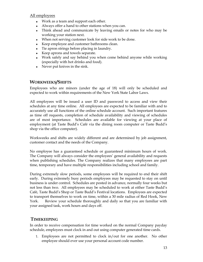#### <span id="page-12-0"></span>All employees

- Work as a team and support each other.
- Always offer a hand to other stations when you can.
- Think ahead and communicate by leaving emails or notes for who may be working your station next.
- When not serving customer look for side work to be done.
- Keep employee and customer bathrooms clean.
- Tie apron strings before placing in laundry.
- Keep aprons and towels separate.
- Work safely and say behind you when come behind anyone while working (especially with hot drinks and food).
- Never put knives in the sink.

## <span id="page-12-1"></span>**WORKWEEKS/SHIFTS**

Employees who are minors (under the age of 18) will only be scheduled and expected to work within requirements of the New York State Labor Laws.

All employees will be issued a user ID and password to access and view their schedules at any time online. All employees are expected to be familiar with and to accurately use all functions of the online schedule account. Such important features as time off requests, completion of schedule availability and viewing of schedules are of most importance. Schedules are available for viewing at your place of employment (at Taste Budd's Café via the dining room computer or Taste Budd's shop via the office computer).

Workweeks and shifts are widely different and are determined by job assignment, customer contact and the needs of the Company.

No employee has a guaranteed schedule or guaranteed minimum hours of work. The Company will always consider the employees' general availability and requests when publishing schedules. The Company realizes that many employees are part time, temporary and have multiple responsibilities including school and family.

During extremely slow periods, some employees will be required to end their shift early. During extremely busy periods employees may be requested to stay on until business is under control. Schedules are posted in advance, normally four weeks but not less than two. All employees may be scheduled to work at either Taste Budd's Café, Taste Budd's Shop or Taste Budd's Festival locations. Employees are expected to transport themselves to work on time, within a 30 mile radius of Red Hook, New York. Review your schedule thoroughly and daily so that you are familiar with your assigned task, work hours and days off.

## <span id="page-12-2"></span>**TIMEKEEPING**

In order to receive compensation for time worked on the normal Company payday schedule, employees must clock in and out using computer generated time cards.

1. Employees are not permitted to clock in/out for one another. No other employee should ever use your personal account code number.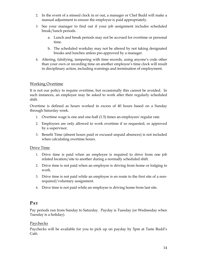- 2. In the event of a missed clock in or out, a manager or Chef Budd will make a manual adjustment to ensure the employee is paid appropriately.
- 3. See your manager to find out if your job assignment includes scheduled break/lunch periods.
	- a. Lunch and break periods may not be accrued for overtime or personal time.
	- b. The scheduled workday may not be altered by not taking designated breaks and lunches unless pre-approved by a manager.
- 4. Altering, falsifying, tampering with time records, using anyone's code other than your own or recording time on another employee's time clock will result in disciplinary action, including warnings and termination of employment.

#### <span id="page-13-0"></span>Working Overtime

It is not our policy to require overtime, but occasionally this cannot be avoided. In such instances, an employee may be asked to work after their regularly scheduled shift.

Overtime is defined as hours worked in excess of 40 hours based on a Sunday through Saturday week.

- 1. Overtime wage is one and one-half (1.5) times an employees' regular rate.
- 2. Employees are only allowed to work overtime if so requested, or approved by a supervisor.
- 3. Benefit Time (absent hours paid or excused unpaid absences) is not included when calculating overtime hours.

#### <span id="page-13-1"></span>Drive Time

- 1. Drive time is paid when an employee is required to drive from one job related location/site to another during a normally scheduled shift.
- 2. Drive time is not paid when an employee is driving from home or lodging to work.
- 3. Drive time is not paid while an employee is en route to the first site of a nonrequired/voluntary assignment.
- 4. Drive time is not paid while an employee is driving home from last site.

## <span id="page-13-2"></span>**PAY**

Pay periods run from Sunday to Saturday. Payday is Tuesday (or Wednesday when Tuesday is a holiday).

#### <span id="page-13-3"></span>Paychecks

Paychecks will be available for you to pick up on payday by 5pm at Taste Budd's Café.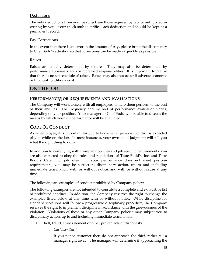## <span id="page-14-0"></span>Deductions

The only deductions from your paycheck are those required by law or authorized in writing by you. Your check stub identifies each deduction and should be kept as a permanent record.

#### <span id="page-14-1"></span>Pay Corrections

In the event that there is an error in the amount of pay, please bring the discrepancy to Chef Budd's attention so that corrections can be made as quickly as possible.

#### <span id="page-14-2"></span>Raises

Raises are usually determined by tenure. They may also be determined by performance appraisals and/or increased responsibilities. It is important to realize that there is no set schedule of raises. Raises may also not occur if adverse economic or financial conditions exist.

# <span id="page-14-3"></span>**ON THE JOB**

## <span id="page-14-4"></span>**PERFORMANCE/JOB REQUIREMENTS AND EVALUATIONS**

The Company will work closely with all employees to help them perform to the best of their abilities. The frequency and method of performance evaluation varies, depending on your position. Your manager or Chef Budd will be able to discuss the means by which your job performance will be evaluated.

# <span id="page-14-5"></span>**CODE OF CONDUCT**

As an employee, it is important for you to know what personal conduct is expected of you while on the job. In most instances, your own good judgment will tell you what the right thing to do is.

In addition to complying with Company policies and job specific requirements, you are also expected to obey the rules and regulations of Taste Budd's, Inc. and Taste Budd's Cafe, Inc. job sites. If your performance does not meet position requirements, you may be subject to disciplinary action, up to and including immediate termination, with or without notice, and with or without cause at any time.

#### The following are examples of conduct prohibited by Company policy:

The following examples are not intended to constitute a complete and exhaustive list of prohibited conduct. In addition, the Company reserves the right to change the examples listed below at any time with or without notice. While discipline for standard violations will follow a progressive disciplinary procedure, the Company reserves the right to implement discipline in accordance with the grievousness of the violation. Violations of these or any other Company policies may subject you to disciplinary action, up to and including immediate termination:

- 1. Theft, fraud, embezzlement or other proven acts of dishonesty.
	- *a. Customer Theft*

If you notice customer theft do not approach the thief, rather tell a manager right away. The manager will determine if approaching the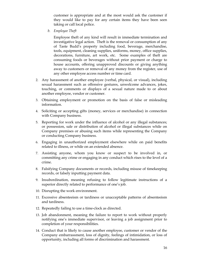customer is appropriate and at the most would ask the customer if they would like to pay for any certain items they have been seen taking or call local police.

*b. Employee Theft*

Employee theft of any kind will result in immediate termination and investigative legal action. Theft is the removal or consumption of any of Taste Budd's property including food, beverage, merchandise, tools, equipment, cleaning supplies, uniforms, money, office supplies, decorations, furniture, art work, etc. Some examples of theft are consuming foods or beverages without prior payment or charge to house accounts, offering unapproved discounts or giving anything away to customers or removal of any money from the register, use of any other employee access number or time card.

- 2. Any harassment of another employee (verbal, physical, or visual), including sexual harassment such as offensive gestures, unwelcome advances, jokes, touching, or comments or displays of a sexual nature made to or about another employee, vendor or customer.
- 3. Obtaining employment or promotion on the basis of false or misleading information.
- 4. Soliciting or accepting gifts (money, services or merchandise) in connection with Company business.
- 5. Reporting for work under the influence of alcohol or any illegal substances; or possession, sale or distribution of alcohol or illegal substances while on Company premises or abusing such items while representing the Company or conducting Company business.
- 6. Engaging in unauthorized employment elsewhere while on paid benefits related to illness, or while on an extended absence.
- 7. Assisting anyone, whom you know or suspect to be involved in, or committing any crime or engaging in any conduct which rises to the level of a crime.
- 8. Falsifying Company documents or records, including misuse of timekeeping records, or falsely inputting payment data.
- 9. Insubordination, meaning refusing to follow legitimate instructions of a superior directly related to performance of one's job.
- 10. Disrupting the work environment.
- 11. Excessive absenteeism or tardiness or unacceptable patterns of absenteeism and tardiness.
- 12. Repeatedly failing to use a time-clock as directed.
- 13. Job abandonment, meaning the failure to report to work without properly notifying one's immediate supervisor, or leaving a job assignment prior to completion of your responsibilities.
- 14. Conduct that is likely to cause another employee, customer or vendor of the Company embarrassment, loss of dignity, feelings of intimidation, or loss of opportunity, including all forms of discrimination and harassment.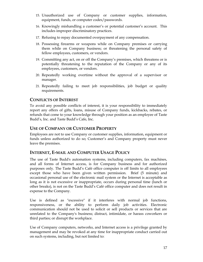- 15. Unauthorized use of Company or customer supplies, information, equipment, funds, or computer codes/passwords.
- 16. Knowingly mishandling a customer's or potential customer's account. This includes improper discriminatory practices.
- 17. Refusing to repay documented overpayment of any compensation.
- 18. Possessing firearms or weapons while on Company premises or carrying them while on Company business; or threatening the personal safety of fellow employees, customers, or vendors.
- 19. Committing any act, on or off the Company's premises, which threatens or is potentially threatening to the reputation of the Company or any of its employees, customers, or vendors.
- 20. Repeatedly working overtime without the approval of a supervisor or manager.
- 21. Repeatedly failing to meet job responsibilities, job budget or quality requirements.

# <span id="page-16-0"></span>**CONFLICTS OF INTEREST**

To avoid any possible conflicts of interest, it is your responsibility to immediately report any offers of gifts, loans, misuse of Company funds, kickbacks, rebates, or refunds that come to your knowledge through your position as an employee of Taste Budd's, Inc. and Taste Budd's Cafe, Inc.

# <span id="page-16-1"></span>**USE OF COMPANY OR CUSTOMER PROPERTY**

Employees are not to use Company or customer supplies, information, equipment or funds unless authorized to do so; Customer's and Company property must never leave the premises.

# <span id="page-16-2"></span>**INTERNET, E-MAIL AND COMPUTER USAGE POLICY**

The use of Taste Budd's automation systems, including computers, fax machines, and all forms of Internet access, is for Company business and for authorized purposes only. The Taste Budd's Café office computer is off limits to all employees except those who have been given written permission. Brief (5 minute) and occasional personal use of the electronic mail system or the Internet is acceptable as long as it is not excessive or inappropriate, occurs during personal time (lunch or other breaks), is not on the Taste Budd's Café office computer and does not result in expense to the Company.

Use is defined as "excessive" if it interferes with normal job functions, responsiveness, or the ability to perform daily job activities. Electronic communication should not be used to solicit or sell products or services that are unrelated to the Company's business; distract, intimidate, or harass coworkers or third parties; or disrupt the workplace.

Use of Company computers, networks, and Internet access is a privilege granted by management and may be revoked at any time for inappropriate conduct carried out on such systems, including, but not limited to: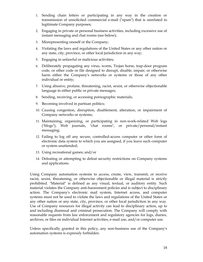- 1. Sending chain letters or participating in any way in the creation or transmission of unsolicited commercial e-mail ("spam") that is unrelated to legitimate Company purposes;
- 2. Engaging in private or personal business activities, including excessive use of instant messaging and chat rooms (see below);
- 3. Misrepresenting oneself or the Company;
- 4. Violating the laws and regulations of the United States or any other nation or any state, city, province, or other local jurisdiction in any way;
- 5. Engaging in unlawful or malicious activities;
- 6. Deliberately propagating any virus, worm, Trojan horse, trap-door program code, or other code or file designed to disrupt, disable, impair, or otherwise harm either the Company's networks or systems or those of any other individual or entity;
- 7. Using abusive, profane, threatening, racist, sexist, or otherwise objectionable language in either public or private messages;
- 8. Sending, receiving, or accessing pornographic materials;
- 9. Becoming involved in partisan politics;
- 10. Causing congestion, disruption, disablement, alteration, or impairment of Company networks or systems;
- 11. Maintaining, organizing, or participating in non-work-related Web logs ("blogs"), Web journals, "chat rooms", or private/personal/instant messaging;
- 12. Failing to log off any secure, controlled-access computer or other form of electronic data system to which you are assigned, if you leave such computer or system unattended;
- 13. Using recreational games; and/or
- 14. Defeating or attempting to defeat security restrictions on Company systems and applications.

Using Company automation systems to access, create, view, transmit, or receive racist, sexist, threatening, or otherwise objectionable or illegal material is strictly prohibited. "Material" is defined as any visual, textual, or auditory entity. Such material violates the Company anti-harassment policies and is subject to disciplinary action. The Company's electronic mail system, Internet access, and computer systems must not be used to violate the laws and regulations of the United States or any other nation or any state, city, province, or other local jurisdiction in any way. Use of Company resources for illegal activity can lead to disciplinary action, up to and including dismissal and criminal prosecution. The Company will comply with reasonable requests from law enforcement and regulatory agencies for logs, diaries, archives, or files on individual Internet activities, e-mail use, and/or computer use.

Unless specifically granted in this policy, any non-business use of the Company's automation systems is expressly forbidden.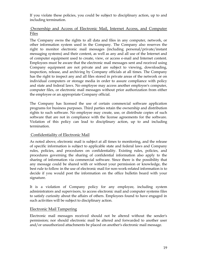If you violate these policies, you could be subject to disciplinary action, up to and including termination.

#### <span id="page-18-0"></span>Ownership and Access of Electronic Mail, Internet Access, and Computer Files

The Company owns the rights to all data and files in any computer, network, or other information system used in the Company. The Company also reserves the right to monitor electronic mail messages (including personal/private/instant messaging systems) and their content, as well as any and all use of the Internet and of computer equipment used to create, view, or access e-mail and Internet content. Employees must be aware that the electronic mail messages sent and received using Company equipment are not private and are subject to viewing, downloading, inspection, release, and archiving by Company officials at all times. The Company has the right to inspect any and all files stored in private areas of the network or on individual computers or storage media in order to assure compliance with policy and state and federal laws. No employee may access another employee's computer, computer files, or electronic mail messages without prior authorization from either the employee or an appropriate Company official.

The Company has licensed the use of certain commercial software application programs for business purposes. Third parties retain the ownership and distribution rights to such software. No employee may create, use, or distribute copies of such software that are not in compliance with the license agreements for the software. Violation of this policy can lead to disciplinary action, up to and including termination.

#### <span id="page-18-1"></span>Confidentiality of Electronic Mail

As noted above, electronic mail is subject at all times to monitoring, and the release of specific information is subject to applicable state and federal laws and Company rules, policies, and procedures on confidentiality. Existing rules, policies, and procedures governing the sharing of confidential information also apply to the sharing of information via commercial software. Since there is the possibility that any message could be shared with or without your permission or knowledge, the best rule to follow in the use of electronic mail for non-work-related information is to decide if you would post the information on the office bulletin board with your signature.

It is a violation of Company policy for any employee, including system administrators and supervisors, to access electronic mail and computer systems files to satisfy curiosity about the affairs of others. Employees found to have engaged in such activities will be subject to disciplinary action.

#### <span id="page-18-2"></span>Electronic Mail Tampering

Electronic mail messages received should not be altered without the sender's permission; nor should electronic mail be altered and forwarded to another user and/or unauthorized attachments be placed on another's electronic mail message.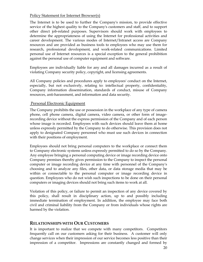#### <span id="page-19-0"></span>Policy Statement for Internet Browser(s)

The Internet is to be used to further the Company's mission, to provide effective service of the highest quality to the Company's customers and staff, and to support other direct job-related purposes. Supervisors should work with employees to determine the appropriateness of using the Internet for professional activities and career development. The various modes of Internet/Intranet access are Company resources and are provided as business tools to employees who may use them for research, professional development, and work-related communications. Limited personal use of Internet resources is a special exception to the general prohibition against the personal use of computer equipment and software.

Employees are individually liable for any and all damages incurred as a result of violating Company security policy, copyright, and licensing agreements.

All Company policies and procedures apply to employees' conduct on the Internet, especially, but not exclusively, relating to: intellectual property, confidentiality, Company information dissemination, standards of conduct, misuse of Company resources, anti-harassment, and information and data security.

#### <span id="page-19-1"></span>Personal Electronic Equipment

The Company prohibits the use or possession in the workplace of any type of camera phone, cell phone camera, digital camera, video camera, or other form of imagerecording device without the express permission of the Company and of each person whose image is recorded. Employees with such devices should leave them at home unless expressly permitted by the Company to do otherwise. This provision does not apply to designated Company personnel who must use such devices in connection with their positions of employment.

Employees should not bring personal computers to the workplace or connect them to Company electronic systems unless expressly permitted to do so by the Company. Any employee bringing a personal computing device or image recording device onto Company premises thereby gives permission to the Company to inspect the personal computer or image recording device at any time with personnel of the Company's choosing and to analyze any files, other data, or data storage media that may be within or connectable to the personal computer or image recording device in question. Employees who do not wish such inspections to be done on their personal computers or imaging devices should not bring such items to work at all.

Violation of this policy, or failure to permit an inspection of any device covered by this policy, shall result in disciplinary action, up to and possibly including immediate termination of employment. In addition, the employee may face both civil and criminal liability from the Company or from individuals whose rights are harmed by the violation.

#### <span id="page-19-2"></span>**RELATIONSHIPS WITH OUR CUSTOMERS**

It is important to realize that we compete with many competitors. Competitors frequently call on our customers asking for their business. A customer will only change services when their impression of our service becomes less positive than their impression of a competitor. Impressions are constantly changed and formed by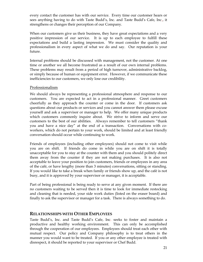every contact the customer has with our service. Every time our customer hears or sees anything having to do with Taste Budd's, Inc. and Taste Budd's Cafe, Inc., it strengthens or changes their perception of our Company.

When our customers give us their business, they have great expectations and a very positive impression of our service. It is up to each employee to fulfill these expectations and build a lasting impression. We must consider the quality and professionalism in every aspect of what we do and say. Our reputation is your future.

Internal problems should be discussed with management, not the customer. At one time or another we all become frustrated as a result of our own internal problems. These problems may result from a period of high turnover, administrative backlog, or simply because of human or equipment error. However, if we communicate these inefficiencies to our customers, we only lose our credibility.

#### <span id="page-20-0"></span>Professionalism

We should always be representing a professional atmosphere and response to our customers. You are expected to act in a professional manner. Greet customers cheerfully as they approach the counter or come in the door. If customers ask questions about our products or services and you cannot answer them please excuse yourself and ask a supervisor or manager to help. We offer many unique products which customers commonly inquire about. We strive to inform and serve our customers to the best of our abilities. Always remember to tell customers "thank you and have a nice day" at the end of a transaction. Conversations with coworkers, which do not pertain to your work, should be limited and at least friendly conversation should occur while continuing to work.

Friends of employees (including other employees) should not come to visit while you are on shift. If friends do come in while you are on shift it is totally unacceptable for you to stay at the counter with them and you should politely direct them away from the counter if they are not making purchases. It is also not acceptable to leave your position to join customers, friends or employees in any area of the café, or have lengthy (more than 3 minutes) conversations, sitting or standing. If you would like to take a break when family or friends show up, and the café is not busy, and it is approved by your supervisor or manager, it is acceptable.

Part of being professional is being ready to serve at any given moment. If there are no customers waiting to be served then it is time to look for immediate restocking and cleaning that is needed, your side work duties (listed on the eraser board) and finally to ask the supervisor or manager for a task. There is always something to do.

## <span id="page-20-1"></span>**RELATIONSHIPS WITH OTHER EMPLOYEES**

Taste Budd's, Inc. and Taste Budd's Cafe, Inc. seeks to foster and maintain a productive and healthy working environment. This can only be accomplished through the cooperation of our employees. Employees should treat each other with mutual respect. Our policy and Company philosophy is to treat others in the manner you would want to be treated. If you or any other employee is treated with disrespect, it should be reported to your supervisor or Chef Budd.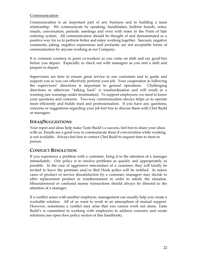#### <span id="page-21-0"></span>Communication

Communication is an important part of any business and to building a team relationship. We communicate by speaking, handshakes, bulletin boards, notes, emails, conversation, periodic meetings and even with notes in the Point of Sale ordering system. All communication should be thought of and demonstrated as a positive way for us to perform better and enjoy working together. Sarcasm, negative comments, joking, negative expressions and profanity are not acceptable forms of communication by anyone working at our Company.

It is common courtesy to greet co-workers as you come on shift and say good-bye before you depart. Especially to check out with managers as you end a shift and prepare to depart.

Supervisors are here to ensure great service to our customers and to guide and support you so you can effectively perform your job. Your cooperation in following the supervisors' directions is important to general operations. Challenging directions or otherwise "talking back" is insubordination and will result in a warning (see warnings under termination). To support employees, we need to know your questions and concerns. Two-way communication always helps us to operate more efficiently and builds trust and professionalism. If you have any questions, concerns or suggestions regarding your job feel free to discuss them with Chef Budd or managers.

## <span id="page-21-1"></span>**IDEAS/SUGGESTIONS**

Your input and ideas help make Taste Budd's a success, feel free to share your ideas with us. Emails are a good way to communicate them if conversation while working is not available. Always feel free to contact Chef Budd to request time to meet in person.

# <span id="page-21-2"></span>**CONFLICT RESOLUTION**

If you experience a problem with a customer, bring it to the attention of a manager immediately. Our policy is to resolve problems as quickly and appropriately as possible. In the case of aggressive misconduct of a customer, they will kindly be invited to leave the premises and/or Red Hook police will be notified. In minor cases of product or service dissatisfaction by a customer, managers may decide to offer replacement product or reimbursement in order to satisfy the situation. Misunderstood or confused money transactions should always be directed to the attention of a manager.

If a conflict arises with another employee, management can usually help you create a workable solution. All of us want to work in an atmosphere of mutual support. However, sometimes a conflict may arise that you cannot work out alone. Taste Budd's is committed to working with employees to address concerns and create solutions (see open door policy section of this handbook).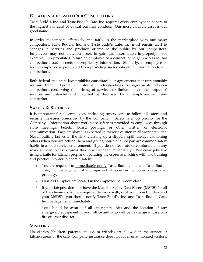# <span id="page-22-0"></span>**RELATIONSHIPS WITH OUR COMPETITORS**

Taste Budd's, Inc. and Taste Budd's Cafe, Inc. requires every employee to adhere to the highest standard of ethical business conduct. Our most valuable asset is our good name.

In order to compete effectively and fairly in the marketplace with our many competitors, Taste Budd's, Inc. and Taste Budd's Cafe, Inc. must remain alert to changes in services and products offered to the public by our competitors. Employees may not, however, seek to gain this information improperly. For example, it is prohibited to hire an employee of a competitor to gain access to that competitor's trade secrets or proprietary information. Similarly, an employee or former employee is prohibited from providing such confidential information to our competitors.

Both federal and state law prohibits conspiracies or agreements that unreasonably restrain trade. Formal or informal understandings or agreements between competitors concerning the pricing of services or limitations on the output of services are unlawful and may not be discussed by an employee with any competitor.

# <span id="page-22-1"></span>**SAFETY & SECURITY**

It is important for all employees, including supervisors, to follow all safety and security measures prescribed by the Company. Safety is a top priority for the Company. Information about workplace safety is provided to employees through store meetings, bulletin board postings, or other written or electronic communication. Each employee is expected to exercise caution in all work activities. Never putting knives in the sink, cleaning up a slippery spill, always cautioning others when you are behind them and giving notice of a hot pan are common safety habits in a food service environment. If you do not feel safe or comfortable in any work activity, please express this to a manager immediately. Particular jobs like using a knife for kitchen prep and operating the espresso machine will take training and practice in order to operate safely.

- 1. You are required to immediately notify Taste Budd's, Inc. and Taste Budd's Cafe, Inc. management of any injuries that occur on the job or on customer property.
- 2. First Aid supplies are located in the employee bathroom closet.
- 3. If your job post does not have the Material Safety Data Sheets (MSDS) for all of the chemicals you are required to work with, or if you do not understand your MSDS's, you should notify Taste Budd's, Inc. and Taste Budd's Cafe, Inc. management immediately.
- 4. You should be aware of all emergency exits and the location of any emergency equipment in your office and who will be in charge in case of a fire or other disaster.

#### <span id="page-22-2"></span>**VISITORS**

No visitors (children, parents, spouse, or friends) are allowed in the service or kitchen areas of the cafe; Company insurance does not cover unauthorized visitors.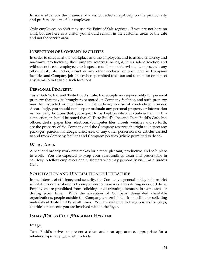In some situations the presence of a visitor reflects negatively on the productivity and professionalism of our employees.

Only employees on shift may use the Point of Sale register. If you are not here on shift, but are here as a visitor you should remain in the customer areas of the café and not the service area.

## <span id="page-23-0"></span>**INSPECTION OF COMPANY FACILITIES**

In order to safeguard the workplace and the employees, and to assure efficiency and maximize productivity, the Company reserves the right, in its sole discretion and without notice to employees, to inspect, monitor or otherwise enter or search any office, desk, file, locker, closet or any other enclosed or open area in Company facilities and Company job sites (where permitted to do so) and to monitor or inspect any items found within such locations.

## <span id="page-23-1"></span>**PERSONAL PROPERTY**

Taste Budd's, Inc. and Taste Budd's Cafe, Inc. accepts no responsibility for personal property that may be brought to or stored on Company facilities, and such property may be inspected or monitored in the ordinary course of conducting business. Accordingly, you should not keep or maintain any personal property or information in Company facilities that you expect to be kept private and confidential. In this connection, it should be noted that all Taste Budd's, Inc. and Taste Budd's Cafe, Inc. offices, desks, paper files, electronic/computer files, closets, vehicles and so forth, are the property of the Company and the Company reserves the right to inspect any packages, parcels, handbags, briefcases, or any other possessions or articles carried to and from Company facilities and Company job sites (where permitted to do so).

## <span id="page-23-2"></span>**WORK AREA**

A neat and orderly work area makes for a more pleasant, productive, and safe place to work. You are expected to keep your surroundings clean and presentable in courtesy to fellow employees and customers who may personally visit Taste Budd's Cafe.

#### <span id="page-23-3"></span>**SOLICITATION AND DISTRIBUTION OF LITERATURE**

In the interest of efficiency and security, the Company's general policy is to restrict solicitations or distributions by employees to non-work areas during non-work time. Employees are prohibited from soliciting or distributing literature in work areas or during work time. With the exception of Company designated charitable organizations, people outside the Company are prohibited from selling or soliciting materials at Taste Budd's at all times. You are welcome to hang posters for plays, charities or concerts you are involved with in the foyer.

# <span id="page-23-4"></span>**IMAGE/DRESS CODE/PERSONAL HYGIENE**

#### <span id="page-23-5"></span>Image

Taste Budd's strives to present a clean and neat appearance, appropriate for a retailer of specialty gourmet products.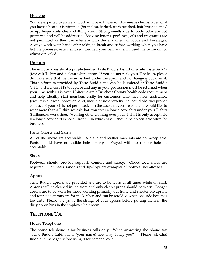## <span id="page-24-0"></span>Hygiene

You are expected to arrive at work in proper hygiene. This means clean-shaven or if you have a beard it is trimmed (for males), bathed, teeth brushed, hair brushed and/ or up, finger nails clean, clothing clean. Strong smells due to body odor are not permitted and will be addressed. Shaving lotions, perfumes, oils and fragrances are not permitted as they can interfere with the enjoyment of foods and beverages. Always wash your hands after taking a break and before working when you have left the premises, eaten, smoked, touched your hair and skin, used the bathroom or whenever soiled.

## <span id="page-24-1"></span>Uniform

The uniform consists of a purple tie-died Taste Budd's T-shirt or white Taste Budd's (festival) T-shirt and a clean white apron. If you do not tuck your T-shirt in, please do make sure that the T-shirt is tied under the apron and not hanging out over it. This uniform is provided by Taste Budd's and can be laundered at Taste Budd's Café. T-shirts cost \$18 to replace and any in your possession must be returned when your time with us is over. Uniforms are a Dutchess County health code requirement and help identify staff members easily for customers who may need assistance. Jewelry is allowed, however hand, mouth or nose jewelry that could obstruct proper conduct of your job is not permitted. In the case that you are cold and would like to wear more than a T-shirt we ask that, you wear a long sleeve shirt under your T-shirt (turtlenecks work fine). Wearing other clothing over your T-shirt is only acceptable if a long sleeve shirt is not sufficient. In which case it should be presentable attire for business.

## <span id="page-24-2"></span>Pants, Shorts and Skirts

All of the above are acceptable. Athletic and leather materials are not acceptable. Pants should have no visible holes or rips. Frayed with no rips or holes is acceptable.

## <span id="page-24-3"></span>Shoes

Footwear should provide support, comfort and safety. Closed-toed shoes are required. High heels, sandals and flip-flops are examples of footwear not allowed.

#### <span id="page-24-4"></span>Aprons

Taste Budd's aprons are provided and are to be worn at all times while on shift. Aprons will be cleaned in the store and only clean aprons should be worn. Longer aprons are to be worn for those working primarily out front, and shorter bib-aprons and four side aprons are for the kitchen and can be refolded when one side becomes too dirty. Please always tie the strings of your aprons before putting them in the dirty apron bins in the employee bathroom.

# <span id="page-24-5"></span>**TELEPHONE USE**

## <span id="page-24-6"></span>House Telephone

The house telephone is for business calls only. When answering the phone say "Taste Budd's Café, this is (your name) how may I help you?". Please ask Chef Budd or a manager before using it for personal calls.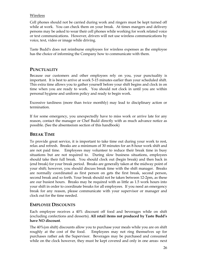#### <span id="page-25-0"></span>Wireless

Cell phones should not be carried during work and ringers must be kept turned off while at work. You can check them on your break. At times mangers and delivery persons may be asked to wear their cell phones while working for work related voice or text communications. However, drivers will not use wireless communications by voice, text, video or image while driving.

Taste Budd's does not reimburse employees for wireless expenses as the employee has the choice of informing the Company how to communicate with them.

# <span id="page-25-1"></span>**PUNCTUALITY**

Because our customers and other employees rely on you, your punctuality is important. It is best to arrive at work 5-15 minutes earlier than your scheduled shift. This extra time allows you to gather yourself before your shift begins and clock in on time when you are ready to work. You should not clock in until you are within personal hygiene and uniform policy and ready to begin work.

Excessive tardiness (more than twice monthly) may lead to disciplinary action or termination.

If for some emergency, you unexpectedly have to miss work or arrive late for any reason, contact the manager or Chef Budd directly with as much advance notice as possible. (See the absenteeism section of this handbook)

# <span id="page-25-2"></span>**BREAK TIME**

To provide great service, it is important to take time out during your work to rest, relax and refresh. Breaks are a minimum of 30 minutes for an 8-hour work shift and are not paid time. Employees may volunteer to reduce their break time in busy situations but are not required to. During slow business situations, employees should take their full break. You should clock out (begin break) and then back in (end break) for your break period. Breaks are generally taken at the midway point of your shift; however, you should discuss break time with the shift manager. Breaks are normally coordinated as first person on gets the first break, second person, second break and so forth. Your break should not be taken between 12-2pm, as these are our busiest hours. Breaks may be required with as little as 1.5 work hours into your shift in order to coordinate breaks for all employees. If you need an emergency break for any reason, please communicate with your supervisor or manager and clock out for the time needed.

# <span id="page-25-3"></span>**EMPLOYEE DISCOUNTS**

Each employee receives a 40% discount off food and beverages while on shift (excluding confections and desserts). **All retail items not produced by Taste Budd's have NO discount**.

The 40%(on shift) discounts allow you to purchase your meals while you are on shift roughly at the cost of the food. Employees may not ring themselves up for purchases rather ask the Supervisor. Beverages may be purchased and consumed while on the clock however, they must be kept covered and only in one areas- next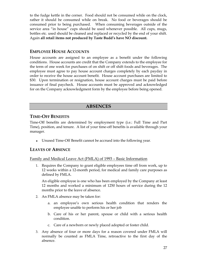to the fudge kettle in the corner. Food should not be consumed while on the clock, rather it should be consumed while on break. No food or beverages should be consumed prior to being purchased. When consuming beverages outside of the service area "in house" cups should be used whenever possible. All cups, mugs, bottles etc. used should be cleaned and replaced or recycled by the end of your shift. Again **all retail items not produced by Taste Budd's have NO discount.**

## <span id="page-26-0"></span>**EMPLOYEE HOUSE ACCOUNTS**

House accounts are assigned to an employee as a benefit under the following conditions. House accounts are credit that the Company extends to the employee for the term of one week for purchases of on shift or off shift foods and beverages. The employee must agree to pay house account charges completely by each payday in order to receive the house account benefit. House account purchases are limited to \$30. Upon termination or resignation, house account charges must be paid before issuance of final paycheck. House accounts must be approved and acknowledged for on the Company acknowledgment form by the employee before being opened.

## **ABSENCES**

## <span id="page-26-2"></span><span id="page-26-1"></span>**TIME-OFF BENEFITS**

Time-Off benefits are determined by employment type (i.e.: Full Time and Part Time), position, and tenure. A list of your time-off benefits is available through your manager.

Unused Time-Off Benefit cannot be accrued into the following year.

#### <span id="page-26-3"></span>**LEAVES OF ABSENCE**

<span id="page-26-4"></span>Family and Medical Leave Act (FMLA) of 1993 – Basic Information

1. Requires the Company to grant eligible employees time off from work, up to 12 weeks within a 12-month period, for medical and family care purposes as defined by FMLA.

An eligible employee is one who has been employed by the Company at least 12 months and worked a minimum of 1250 hours of service during the 12 months prior to the leave of absence.

- 2. An FMLA absence may be taken for:
	- a. an employee's own serious health condition that renders the employee unable to perform his or her job
	- b. Care of his or her parent, spouse or child with a serious health condition.
	- c. Care of a newborn or newly placed adopted or foster child.
- 3. Any absence of four or more days for a reason covered under FMLA will normally be counted as FMLA Time, retroactive to the first day of the absence.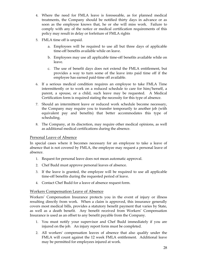- 4. Where the need for FMLA leave is foreseeable, as for planned medical treatments, the Company should be notified thirty days in advance or as soon as the employee knows that, he or she will miss work. Failure to comply with any of the notice or medical certification requirements of this policy may result in delay or forfeiture of FMLA rights
- 5. FMLA time off is unpaid.
	- a. Employees will be required to use all but three days of applicable time-off benefits available while on leave.
	- b. Employees may use all applicable time-off benefits available while on leave.
	- c. The use of benefit days does not extend the FMLA entitlement, but provides a way to turn some of the leave into paid time off if the employee has earned paid-time off available.
- 6. If a serious medical condition requires an employee to take FMLA Time intermittently or to work on a reduced schedule to care for him/herself, a parent, a spouse, or a child, such leave may be requested. A Medical Certification form is required stating the necessity for this type of absence.
- 7. Should an intermittent leave or reduced work schedule become necessary, the Company may require you to transfer temporarily to another job (with equivalent pay and benefits) that better accommodates this type of scheduling.
- 8. The Company, at its discretion, may require other medical opinions, as well as additional medical certifications during the absence.

#### <span id="page-27-0"></span>Personal Leave of Absence

In special cases where it becomes necessary for an employee to take a leave of absence that is not covered by FMLA, the employee may request a personal leave of absence.

- 1. Request for personal leave does not mean automatic approval.
- 2. Chef Budd must approve personal leaves of absence.
- 3. If the leave is granted, the employee will be required to use all applicable time-off benefits during the requested period of leave.
- 4. Contact Chef Budd for a leave of absence request form.

#### <span id="page-27-1"></span>Workers Compensation Leave of Absence

Workers' Compensation Insurance protects you in the event of injury or illness resulting directly from work. When a claim is approved, this insurance generally covers most medical bills, provides a statutory benefit payment that varies by State, as well as a death benefit. Any benefit received from Workers' Compensation Insurance is used as an offset to any benefit payable from the Company.

- 1. You must notify your supervisor and Chef Budd immediately if you are injured on the job. An injury report form must be completed.
- 2. All workers' compensation leaves of absence that also qualify under the FMLA will count against the 12 week FMLA entitlement. Additional leave may be permitted for employees injured at work.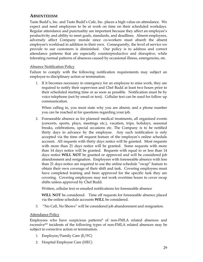# <span id="page-28-0"></span>**ABSENTEEISM**

Taste Budd's, Inc. and Taste Budd's Cafe, Inc. places a high value on attendance. We expect and need employees to be at work on time on their scheduled workdays. Regular attendance and punctuality are important because they affect an employee's productivity and ability to meet goals, standards, and deadlines. Absent employees, adversely affect Company morale since co-workers must absorb the absent employee's workload in addition to their own. Consequently, the level of service we provide to our customers is diminished. Our policy is to address and correct attendance patterns that are especially counterproductive and disruptive, while tolerating normal patterns of absences caused by occasional illness, emergencies, etc.

#### <span id="page-28-1"></span>Absence Notification Policy

Failure to comply with the following notification requirements may subject an employee to disciplinary action or termination.

1. If it becomes necessary in emergency for an employee to miss work, they are required to notify their supervisor and Chef Budd at least two hours prior to their scheduled starting time or as soon as possible. Notification must be by voice telephone (not by email or text). Cellular text can be used for follow up communication.

When calling in, you must state why you are absent, and a phone number you can be reached at for questions regarding your job.

2. Foreseeable absence as for planned medical treatments, all organized events (concerts, sports, plays, meetings etc.), vacation, trips, holidays, seasonal breaks, celebrations, special occasions etc. The Company is to be notified thirty days in advance by the employee. Any such notification is only accepted via the time off request feature of the employee's online schedule account. All requests with thirty days notice will be granted. Most requests with more than 21 days notice will be granted. Some requests with more than 14 days notice will be granted. Requests with equal to or less than 14 days notice **WILL NOT** be granted or approved and will be considered job abandonment and resignation. Employees with foreseeable absence with less than 21 days notice are required to use the online schedule "swap" feature to obtain their own coverage of their shift and task. Covering employees must have completed training and been approved for the specific task they are covering. Covering employees may not work overtime hours to cover swap shifts unless approved by Chef Budd.

Written, cellular text or emailed notifications for foreseeable absence

**WILL NOT** be considered. Time off requests for foreseeable absence placed via the online schedule accounts **WILL** be considered.

3. "No Call, No Shows" will be considered job abandonment and resignation.

#### <span id="page-28-2"></span>**Attendance Policy**

Employees who have suspicious patterns\* of non-FMLA related absences and excessive\*\* incidents of the following types of non-FMLA related absences may be subject to corrective action or termination.

- 1. Employee/Family Care (E/FC)
- 2. Hospital Employee Care (HEC)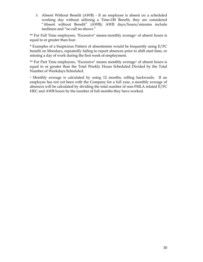3. Absent Without Benefit (AWB) - If an employee is absent on a scheduled working day without utilizing a Time-Off Benefit, they are considered "Absent without Benefit" (AWB); AWB days/hours/minutes include tardiness and "no call no shows."

\*\* For Full Time employees, "Excessive" means monthly average+ of absent hours is equal to or greater than four.

\* Examples of a Suspicious Pattern of absenteeism would be frequently using E/FC benefit on Mondays, repeatedly failing to report absences prior to shift start time, or missing a day of work during the first week of employment.

\*\* For Part Time employees, "Excessive" means monthly average<sup>+</sup> of absent hours is equal to or greater than the Total Weekly Hours Scheduled Divided by the Total Number of Weekdays Scheduled.

<sup>+</sup>Monthly average is calculated by using 12 months, rolling backwards. If an employee has not yet been with the Company for a full year, a monthly average of absences will be calculated by dividing the total number of non-FMLA related E/FC HEC and AWB hours by the number of full months they have worked.